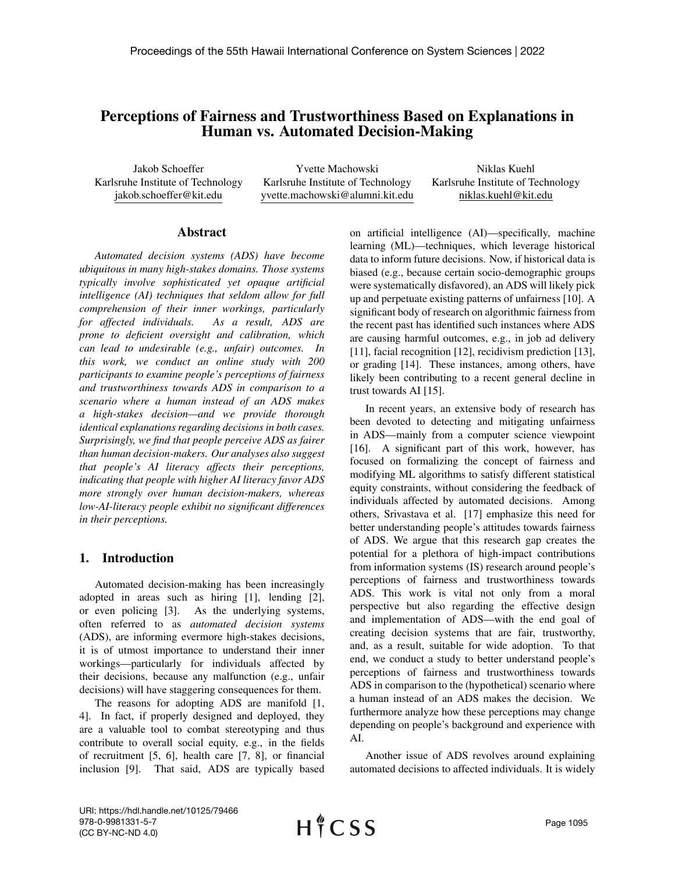# Perceptions of Fairness and Trustworthiness Based on Explanations in Human vs. Automated Decision-Making

Jakob Schoeffer Karlsruhe Institute of Technology jakob.schoeffer@kit.edu

Yvette Machowski Karlsruhe Institute of Technology yvette.machowski@alumni.kit.edu

Niklas Kuehl Karlsruhe Institute of Technology niklas.kuehl@kit.edu

### Abstract

*Automated decision systems (ADS) have become ubiquitous in many high-stakes domains. Those systems typically involve sophisticated yet opaque artificial intelligence (AI) techniques that seldom allow for full comprehension of their inner workings, particularly for affected individuals. As a result, ADS are prone to deficient oversight and calibration, which can lead to undesirable (e.g., unfair) outcomes. In this work, we conduct an online study with 200 participants to examine people's perceptions of fairness and trustworthiness towards ADS in comparison to a scenario where a human instead of an ADS makes a high-stakes decision—and we provide thorough identical explanations regarding decisions in both cases. Surprisingly, we find that people perceive ADS as fairer than human decision-makers. Our analyses also suggest that people's AI literacy affects their perceptions, indicating that people with higher AI literacy favor ADS more strongly over human decision-makers, whereas low-AI-literacy people exhibit no significant differences in their perceptions.*

### 1. Introduction

Automated decision-making has been increasingly adopted in areas such as hiring [1], lending [2], or even policing [3]. As the underlying systems, often referred to as *automated decision systems* (ADS), are informing evermore high-stakes decisions, it is of utmost importance to understand their inner workings—particularly for individuals affected by their decisions, because any malfunction (e.g., unfair decisions) will have staggering consequences for them.

The reasons for adopting ADS are manifold [1, 4]. In fact, if properly designed and deployed, they are a valuable tool to combat stereotyping and thus contribute to overall social equity, e.g., in the fields of recruitment [5, 6], health care [7, 8], or financial inclusion [9]. That said, ADS are typically based on artificial intelligence (AI)—specifically, machine learning (ML)—techniques, which leverage historical data to inform future decisions. Now, if historical data is biased (e.g., because certain socio-demographic groups were systematically disfavored), an ADS will likely pick up and perpetuate existing patterns of unfairness [10]. A significant body of research on algorithmic fairness from the recent past has identified such instances where ADS are causing harmful outcomes, e.g., in job ad delivery [11], facial recognition [12], recidivism prediction [13], or grading [14]. These instances, among others, have likely been contributing to a recent general decline in trust towards AI [15].

In recent years, an extensive body of research has been devoted to detecting and mitigating unfairness in ADS—mainly from a computer science viewpoint [16]. A significant part of this work, however, has focused on formalizing the concept of fairness and modifying ML algorithms to satisfy different statistical equity constraints, without considering the feedback of individuals affected by automated decisions. Among others, Srivastava et al. [17] emphasize this need for better understanding people's attitudes towards fairness of ADS. We argue that this research gap creates the potential for a plethora of high-impact contributions from information systems (IS) research around people's perceptions of fairness and trustworthiness towards ADS. This work is vital not only from a moral perspective but also regarding the effective design and implementation of ADS—with the end goal of creating decision systems that are fair, trustworthy, and, as a result, suitable for wide adoption. To that end, we conduct a study to better understand people's perceptions of fairness and trustworthiness towards ADS in comparison to the (hypothetical) scenario where a human instead of an ADS makes the decision. We furthermore analyze how these perceptions may change depending on people's background and experience with AI.

Another issue of ADS revolves around explaining automated decisions to affected individuals. It is widely

URI: https://hdl.handle.net/10125/79466 978-0-9981331-5-7 (CC BY-NC-ND 4.0)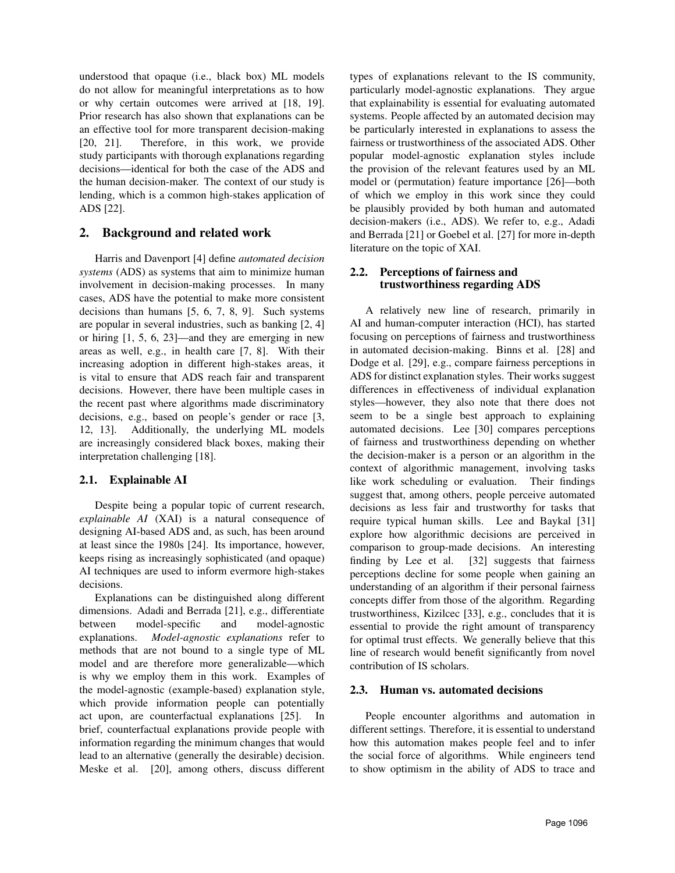understood that opaque (i.e., black box) ML models do not allow for meaningful interpretations as to how or why certain outcomes were arrived at [18, 19]. Prior research has also shown that explanations can be an effective tool for more transparent decision-making [20, 21]. Therefore, in this work, we provide study participants with thorough explanations regarding decisions—identical for both the case of the ADS and the human decision-maker. The context of our study is lending, which is a common high-stakes application of ADS [22].

## 2. Background and related work

Harris and Davenport [4] define *automated decision systems* (ADS) as systems that aim to minimize human involvement in decision-making processes. In many cases, ADS have the potential to make more consistent decisions than humans [5, 6, 7, 8, 9]. Such systems are popular in several industries, such as banking [2, 4] or hiring [1, 5, 6, 23]—and they are emerging in new areas as well, e.g., in health care [7, 8]. With their increasing adoption in different high-stakes areas, it is vital to ensure that ADS reach fair and transparent decisions. However, there have been multiple cases in the recent past where algorithms made discriminatory decisions, e.g., based on people's gender or race [3, 12, 13]. Additionally, the underlying ML models are increasingly considered black boxes, making their interpretation challenging [18].

### 2.1. Explainable AI

Despite being a popular topic of current research, *explainable AI* (XAI) is a natural consequence of designing AI-based ADS and, as such, has been around at least since the 1980s [24]. Its importance, however, keeps rising as increasingly sophisticated (and opaque) AI techniques are used to inform evermore high-stakes decisions.

Explanations can be distinguished along different dimensions. Adadi and Berrada [21], e.g., differentiate between model-specific and model-agnostic explanations. *Model-agnostic explanations* refer to methods that are not bound to a single type of ML model and are therefore more generalizable—which is why we employ them in this work. Examples of the model-agnostic (example-based) explanation style, which provide information people can potentially act upon, are counterfactual explanations [25]. In brief, counterfactual explanations provide people with information regarding the minimum changes that would lead to an alternative (generally the desirable) decision. Meske et al. [20], among others, discuss different

types of explanations relevant to the IS community, particularly model-agnostic explanations. They argue that explainability is essential for evaluating automated systems. People affected by an automated decision may be particularly interested in explanations to assess the fairness or trustworthiness of the associated ADS. Other popular model-agnostic explanation styles include the provision of the relevant features used by an ML model or (permutation) feature importance [26]—both of which we employ in this work since they could be plausibly provided by both human and automated decision-makers (i.e., ADS). We refer to, e.g., Adadi and Berrada [21] or Goebel et al. [27] for more in-depth literature on the topic of XAI.

### 2.2. Perceptions of fairness and trustworthiness regarding ADS

A relatively new line of research, primarily in AI and human-computer interaction (HCI), has started focusing on perceptions of fairness and trustworthiness in automated decision-making. Binns et al. [28] and Dodge et al. [29], e.g., compare fairness perceptions in ADS for distinct explanation styles. Their works suggest differences in effectiveness of individual explanation styles—however, they also note that there does not seem to be a single best approach to explaining automated decisions. Lee [30] compares perceptions of fairness and trustworthiness depending on whether the decision-maker is a person or an algorithm in the context of algorithmic management, involving tasks like work scheduling or evaluation. Their findings suggest that, among others, people perceive automated decisions as less fair and trustworthy for tasks that require typical human skills. Lee and Baykal [31] explore how algorithmic decisions are perceived in comparison to group-made decisions. An interesting finding by Lee et al. [32] suggests that fairness perceptions decline for some people when gaining an understanding of an algorithm if their personal fairness concepts differ from those of the algorithm. Regarding trustworthiness, Kizilcec [33], e.g., concludes that it is essential to provide the right amount of transparency for optimal trust effects. We generally believe that this line of research would benefit significantly from novel contribution of IS scholars.

### 2.3. Human vs. automated decisions

People encounter algorithms and automation in different settings. Therefore, it is essential to understand how this automation makes people feel and to infer the social force of algorithms. While engineers tend to show optimism in the ability of ADS to trace and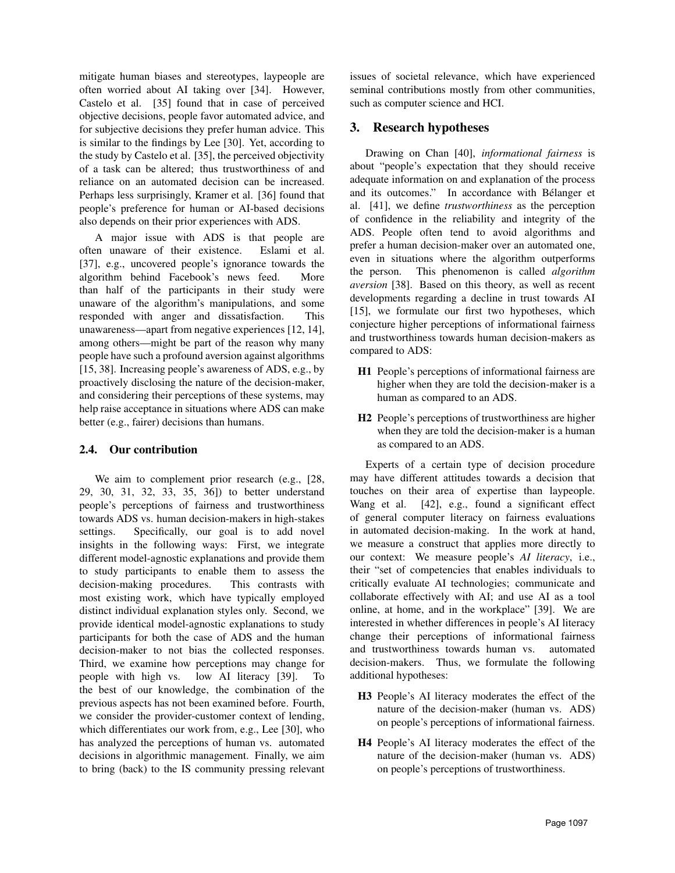mitigate human biases and stereotypes, laypeople are often worried about AI taking over [34]. However, Castelo et al. [35] found that in case of perceived objective decisions, people favor automated advice, and for subjective decisions they prefer human advice. This is similar to the findings by Lee [30]. Yet, according to the study by Castelo et al. [35], the perceived objectivity of a task can be altered; thus trustworthiness of and reliance on an automated decision can be increased. Perhaps less surprisingly, Kramer et al. [36] found that people's preference for human or AI-based decisions also depends on their prior experiences with ADS.

A major issue with ADS is that people are often unaware of their existence. Eslami et al. [37], e.g., uncovered people's ignorance towards the algorithm behind Facebook's news feed. More than half of the participants in their study were unaware of the algorithm's manipulations, and some responded with anger and dissatisfaction. This unawareness—apart from negative experiences [12, 14], among others—might be part of the reason why many people have such a profound aversion against algorithms [15, 38]. Increasing people's awareness of ADS, e.g., by proactively disclosing the nature of the decision-maker, and considering their perceptions of these systems, may help raise acceptance in situations where ADS can make better (e.g., fairer) decisions than humans.

### 2.4. Our contribution

We aim to complement prior research (e.g., [28, 29, 30, 31, 32, 33, 35, 36]) to better understand people's perceptions of fairness and trustworthiness towards ADS vs. human decision-makers in high-stakes settings. Specifically, our goal is to add novel insights in the following ways: First, we integrate different model-agnostic explanations and provide them to study participants to enable them to assess the decision-making procedures. This contrasts with most existing work, which have typically employed distinct individual explanation styles only. Second, we provide identical model-agnostic explanations to study participants for both the case of ADS and the human decision-maker to not bias the collected responses. Third, we examine how perceptions may change for people with high vs. low AI literacy [39]. To the best of our knowledge, the combination of the previous aspects has not been examined before. Fourth, we consider the provider-customer context of lending, which differentiates our work from, e.g., Lee [30], who has analyzed the perceptions of human vs. automated decisions in algorithmic management. Finally, we aim to bring (back) to the IS community pressing relevant issues of societal relevance, which have experienced seminal contributions mostly from other communities, such as computer science and HCI.

## 3. Research hypotheses

Drawing on Chan [40], *informational fairness* is about "people's expectation that they should receive adequate information on and explanation of the process and its outcomes." In accordance with Bélanger et al. [41], we define *trustworthiness* as the perception of confidence in the reliability and integrity of the ADS. People often tend to avoid algorithms and prefer a human decision-maker over an automated one, even in situations where the algorithm outperforms the person. This phenomenon is called *algorithm aversion* [38]. Based on this theory, as well as recent developments regarding a decline in trust towards AI [15], we formulate our first two hypotheses, which conjecture higher perceptions of informational fairness and trustworthiness towards human decision-makers as compared to ADS:

- H1 People's perceptions of informational fairness are higher when they are told the decision-maker is a human as compared to an ADS.
- H2 People's perceptions of trustworthiness are higher when they are told the decision-maker is a human as compared to an ADS.

Experts of a certain type of decision procedure may have different attitudes towards a decision that touches on their area of expertise than laypeople. Wang et al. [42], e.g., found a significant effect of general computer literacy on fairness evaluations in automated decision-making. In the work at hand, we measure a construct that applies more directly to our context: We measure people's *AI literacy*, i.e., their "set of competencies that enables individuals to critically evaluate AI technologies; communicate and collaborate effectively with AI; and use AI as a tool online, at home, and in the workplace" [39]. We are interested in whether differences in people's AI literacy change their perceptions of informational fairness and trustworthiness towards human vs. automated decision-makers. Thus, we formulate the following additional hypotheses:

- H3 People's AI literacy moderates the effect of the nature of the decision-maker (human vs. ADS) on people's perceptions of informational fairness.
- H4 People's AI literacy moderates the effect of the nature of the decision-maker (human vs. ADS) on people's perceptions of trustworthiness.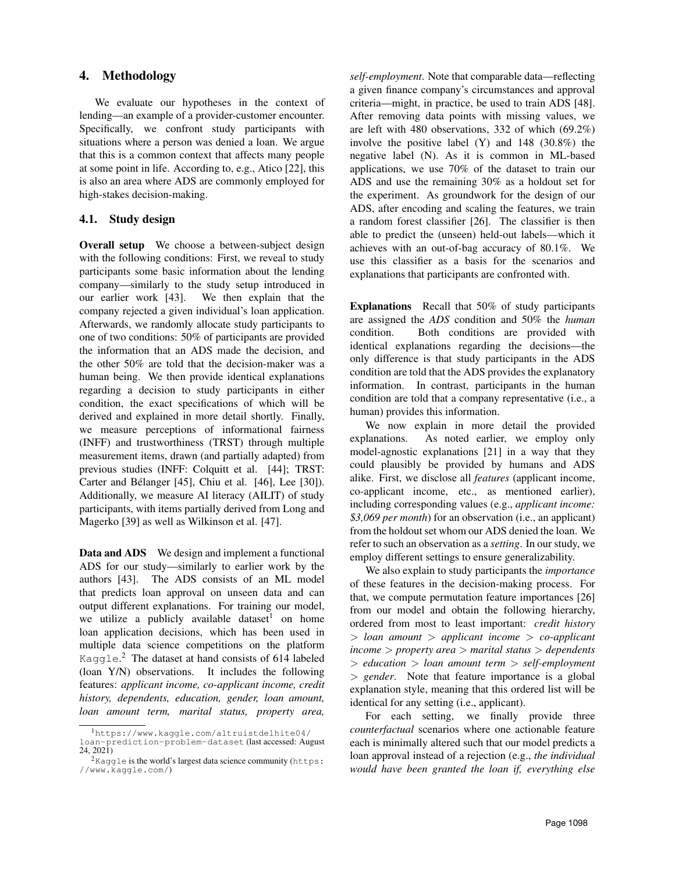### 4. Methodology

We evaluate our hypotheses in the context of lending—an example of a provider-customer encounter. Specifically, we confront study participants with situations where a person was denied a loan. We argue that this is a common context that affects many people at some point in life. According to, e.g., Atico [22], this is also an area where ADS are commonly employed for high-stakes decision-making.

#### 4.1. Study design

Overall setup We choose a between-subject design with the following conditions: First, we reveal to study participants some basic information about the lending company—similarly to the study setup introduced in our earlier work [43]. We then explain that the company rejected a given individual's loan application. Afterwards, we randomly allocate study participants to one of two conditions: 50% of participants are provided the information that an ADS made the decision, and the other 50% are told that the decision-maker was a human being. We then provide identical explanations regarding a decision to study participants in either condition, the exact specifications of which will be derived and explained in more detail shortly. Finally, we measure perceptions of informational fairness (INFF) and trustworthiness (TRST) through multiple measurement items, drawn (and partially adapted) from previous studies (INFF: Colquitt et al. [44]; TRST: Carter and Bélanger [45], Chiu et al. [46], Lee [30]). Additionally, we measure AI literacy (AILIT) of study participants, with items partially derived from Long and Magerko [39] as well as Wilkinson et al. [47].

Data and ADS We design and implement a functional ADS for our study—similarly to earlier work by the authors [43]. The ADS consists of an ML model that predicts loan approval on unseen data and can output different explanations. For training our model, we utilize a publicly available dataset<sup>1</sup> on home loan application decisions, which has been used in multiple data science competitions on the platform Kaggle.<sup>2</sup> The dataset at hand consists of 614 labeled (loan Y/N) observations. It includes the following features: *applicant income, co-applicant income, credit history, dependents, education, gender, loan amount, loan amount term, marital status, property area,*

*self-employment*. Note that comparable data—reflecting a given finance company's circumstances and approval criteria—might, in practice, be used to train ADS [48]. After removing data points with missing values, we are left with 480 observations, 332 of which (69.2%) involve the positive label (Y) and 148 (30.8%) the negative label (N). As it is common in ML-based applications, we use 70% of the dataset to train our ADS and use the remaining 30% as a holdout set for the experiment. As groundwork for the design of our ADS, after encoding and scaling the features, we train a random forest classifier [26]. The classifier is then able to predict the (unseen) held-out labels—which it achieves with an out-of-bag accuracy of 80.1%. We use this classifier as a basis for the scenarios and explanations that participants are confronted with.

Explanations Recall that 50% of study participants are assigned the *ADS* condition and 50% the *human* condition. Both conditions are provided with identical explanations regarding the decisions—the only difference is that study participants in the ADS condition are told that the ADS provides the explanatory information. In contrast, participants in the human condition are told that a company representative (i.e., a human) provides this information.

We now explain in more detail the provided explanations. As noted earlier, we employ only model-agnostic explanations [21] in a way that they could plausibly be provided by humans and ADS alike. First, we disclose all *features* (applicant income, co-applicant income, etc., as mentioned earlier), including corresponding values (e.g., *applicant income: \$3,069 per month*) for an observation (i.e., an applicant) from the holdout set whom our ADS denied the loan. We refer to such an observation as a *setting*. In our study, we employ different settings to ensure generalizability.

We also explain to study participants the *importance* of these features in the decision-making process. For that, we compute permutation feature importances [26] from our model and obtain the following hierarchy, ordered from most to least important: *credit history* > *loan amount* > *applicant income* > *co-applicant income* > *property area* > *marital status* > *dependents* > *education* > *loan amount term* > *self-employment* > *gender*. Note that feature importance is a global explanation style, meaning that this ordered list will be identical for any setting (i.e., applicant).

For each setting, we finally provide three *counterfactual* scenarios where one actionable feature each is minimally altered such that our model predicts a loan approval instead of a rejection (e.g., *the individual would have been granted the loan if, everything else*

<sup>1</sup>https://www.kaggle.com/altruistdelhite04/

loan-prediction-problem-dataset (last accessed: August

<sup>24, 2021)</sup>

 $2$ Kaggle is the world's largest data science community (https: //www.kaggle.com/)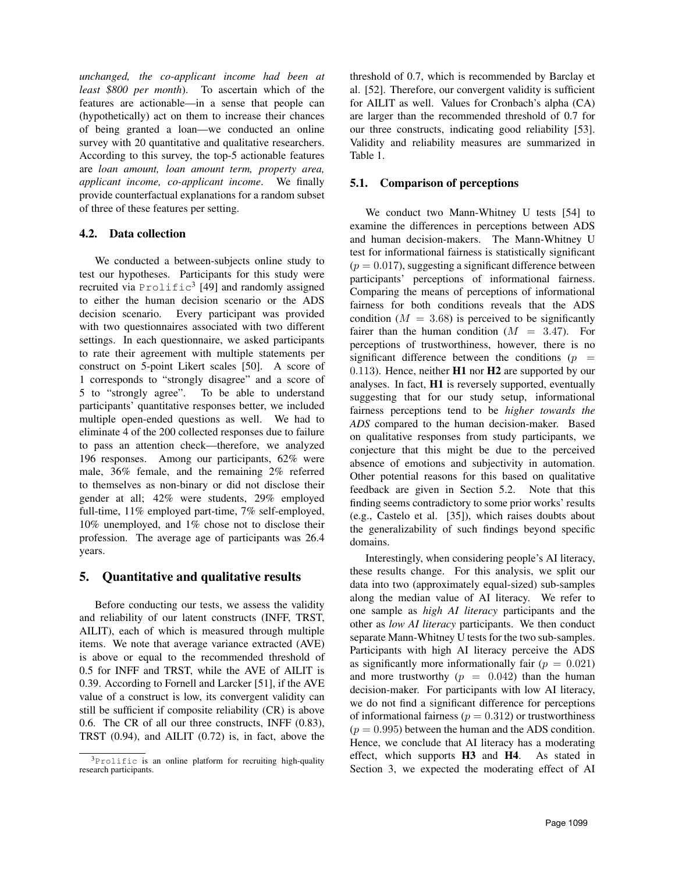*unchanged, the co-applicant income had been at least \$800 per month*). To ascertain which of the features are actionable—in a sense that people can (hypothetically) act on them to increase their chances of being granted a loan—we conducted an online survey with 20 quantitative and qualitative researchers. According to this survey, the top-5 actionable features are *loan amount, loan amount term, property area, applicant income, co-applicant income*. We finally provide counterfactual explanations for a random subset of three of these features per setting.

### 4.2. Data collection

We conducted a between-subjects online study to test our hypotheses. Participants for this study were recruited via  $\text{Product}^3$  [49] and randomly assigned to either the human decision scenario or the ADS decision scenario. Every participant was provided with two questionnaires associated with two different settings. In each questionnaire, we asked participants to rate their agreement with multiple statements per construct on 5-point Likert scales [50]. A score of 1 corresponds to "strongly disagree" and a score of 5 to "strongly agree". To be able to understand participants' quantitative responses better, we included multiple open-ended questions as well. We had to eliminate 4 of the 200 collected responses due to failure to pass an attention check—therefore, we analyzed 196 responses. Among our participants, 62% were male, 36% female, and the remaining 2% referred to themselves as non-binary or did not disclose their gender at all; 42% were students, 29% employed full-time, 11% employed part-time, 7% self-employed, 10% unemployed, and 1% chose not to disclose their profession. The average age of participants was 26.4 years.

## 5. Quantitative and qualitative results

Before conducting our tests, we assess the validity and reliability of our latent constructs (INFF, TRST, AILIT), each of which is measured through multiple items. We note that average variance extracted (AVE) is above or equal to the recommended threshold of 0.5 for INFF and TRST, while the AVE of AILIT is 0.39. According to Fornell and Larcker [51], if the AVE value of a construct is low, its convergent validity can still be sufficient if composite reliability (CR) is above 0.6. The CR of all our three constructs, INFF (0.83), TRST (0.94), and AILIT (0.72) is, in fact, above the

threshold of 0.7, which is recommended by Barclay et al. [52]. Therefore, our convergent validity is sufficient for AILIT as well. Values for Cronbach's alpha (CA) are larger than the recommended threshold of 0.7 for our three constructs, indicating good reliability [53]. Validity and reliability measures are summarized in Table 1.

### 5.1. Comparison of perceptions

We conduct two Mann-Whitney U tests [54] to examine the differences in perceptions between ADS and human decision-makers. The Mann-Whitney U test for informational fairness is statistically significant  $(p = 0.017)$ , suggesting a significant difference between participants' perceptions of informational fairness. Comparing the means of perceptions of informational fairness for both conditions reveals that the ADS condition  $(M = 3.68)$  is perceived to be significantly fairer than the human condition  $(M = 3.47)$ . For perceptions of trustworthiness, however, there is no significant difference between the conditions ( $p =$ 0.113). Hence, neither H1 nor H2 are supported by our analyses. In fact, H1 is reversely supported, eventually suggesting that for our study setup, informational fairness perceptions tend to be *higher towards the ADS* compared to the human decision-maker. Based on qualitative responses from study participants, we conjecture that this might be due to the perceived absence of emotions and subjectivity in automation. Other potential reasons for this based on qualitative feedback are given in Section 5.2. Note that this finding seems contradictory to some prior works' results (e.g., Castelo et al. [35]), which raises doubts about the generalizability of such findings beyond specific domains.

Interestingly, when considering people's AI literacy, these results change. For this analysis, we split our data into two (approximately equal-sized) sub-samples along the median value of AI literacy. We refer to one sample as *high AI literacy* participants and the other as *low AI literacy* participants. We then conduct separate Mann-Whitney U tests for the two sub-samples. Participants with high AI literacy perceive the ADS as significantly more informationally fair ( $p = 0.021$ ) and more trustworthy  $(p = 0.042)$  than the human decision-maker. For participants with low AI literacy, we do not find a significant difference for perceptions of informational fairness ( $p = 0.312$ ) or trustworthiness  $(p = 0.995)$  between the human and the ADS condition. Hence, we conclude that AI literacy has a moderating effect, which supports H3 and H4. As stated in Section 3, we expected the moderating effect of AI

<sup>3</sup>Prolific is an online platform for recruiting high-quality research participants.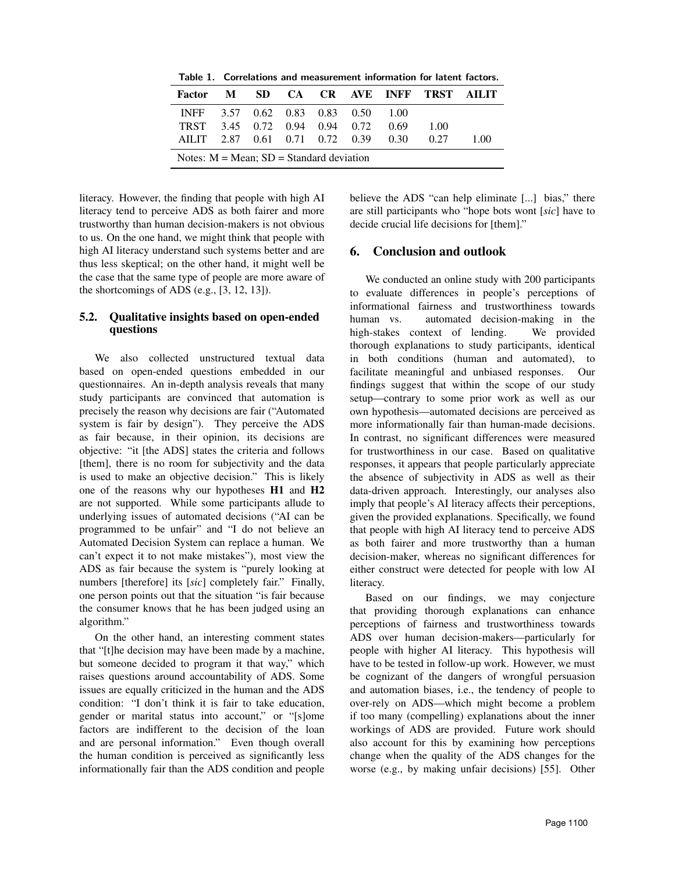Table 1. Correlations and measurement information for latent factors.

| <b>Factor</b>                                 | M |  |  |  |                               |  | SD CA CR AVE INFF TRST AILIT |     |
|-----------------------------------------------|---|--|--|--|-------------------------------|--|------------------------------|-----|
| INFF 3.57 0.62 0.83 0.83 0.50 1.00            |   |  |  |  |                               |  |                              |     |
| <b>TRST</b>                                   |   |  |  |  | 3.45 0.72 0.94 0.94 0.72 0.69 |  | 1.00                         |     |
| AILIT 2.87 0.61 0.71 0.72 0.39 0.30           |   |  |  |  |                               |  | 0.27                         | 100 |
| Notes: $M = Mean$ ; $SD = Standard deviation$ |   |  |  |  |                               |  |                              |     |

literacy. However, the finding that people with high AI literacy tend to perceive ADS as both fairer and more trustworthy than human decision-makers is not obvious to us. On the one hand, we might think that people with high AI literacy understand such systems better and are thus less skeptical; on the other hand, it might well be the case that the same type of people are more aware of the shortcomings of ADS (e.g., [3, 12, 13]).

#### 5.2. Qualitative insights based on open-ended questions

We also collected unstructured textual data based on open-ended questions embedded in our questionnaires. An in-depth analysis reveals that many study participants are convinced that automation is precisely the reason why decisions are fair ("Automated system is fair by design"). They perceive the ADS as fair because, in their opinion, its decisions are objective: "it [the ADS] states the criteria and follows [them], there is no room for subjectivity and the data is used to make an objective decision." This is likely one of the reasons why our hypotheses H1 and H2 are not supported. While some participants allude to underlying issues of automated decisions ("AI can be programmed to be unfair" and "I do not believe an Automated Decision System can replace a human. We can't expect it to not make mistakes"), most view the ADS as fair because the system is "purely looking at numbers [therefore] its [*sic*] completely fair." Finally, one person points out that the situation "is fair because the consumer knows that he has been judged using an algorithm."

On the other hand, an interesting comment states that "[t]he decision may have been made by a machine, but someone decided to program it that way," which raises questions around accountability of ADS. Some issues are equally criticized in the human and the ADS condition: "I don't think it is fair to take education, gender or marital status into account," or "[s]ome factors are indifferent to the decision of the loan and are personal information." Even though overall the human condition is perceived as significantly less informationally fair than the ADS condition and people

believe the ADS "can help eliminate [...] bias," there are still participants who "hope bots wont [*sic*] have to decide crucial life decisions for [them]."

### 6. Conclusion and outlook

We conducted an online study with 200 participants to evaluate differences in people's perceptions of informational fairness and trustworthiness towards human vs. automated decision-making in the high-stakes context of lending. We provided thorough explanations to study participants, identical in both conditions (human and automated), to facilitate meaningful and unbiased responses. Our findings suggest that within the scope of our study setup—contrary to some prior work as well as our own hypothesis—automated decisions are perceived as more informationally fair than human-made decisions. In contrast, no significant differences were measured for trustworthiness in our case. Based on qualitative responses, it appears that people particularly appreciate the absence of subjectivity in ADS as well as their data-driven approach. Interestingly, our analyses also imply that people's AI literacy affects their perceptions, given the provided explanations. Specifically, we found that people with high AI literacy tend to perceive ADS as both fairer and more trustworthy than a human decision-maker, whereas no significant differences for either construct were detected for people with low AI literacy.

Based on our findings, we may conjecture that providing thorough explanations can enhance perceptions of fairness and trustworthiness towards ADS over human decision-makers—particularly for people with higher AI literacy. This hypothesis will have to be tested in follow-up work. However, we must be cognizant of the dangers of wrongful persuasion and automation biases, i.e., the tendency of people to over-rely on ADS—which might become a problem if too many (compelling) explanations about the inner workings of ADS are provided. Future work should also account for this by examining how perceptions change when the quality of the ADS changes for the worse (e.g., by making unfair decisions) [55]. Other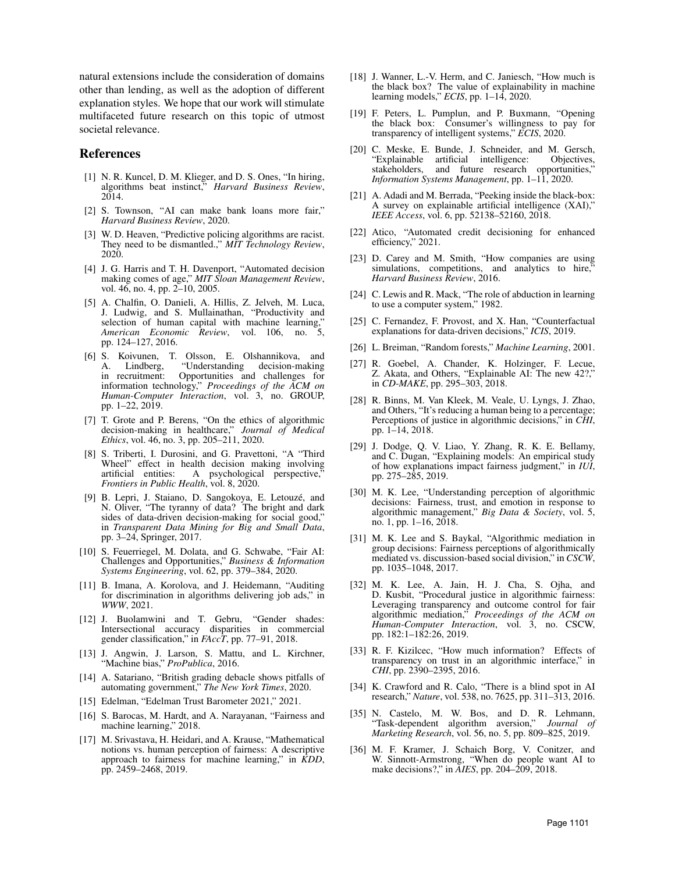natural extensions include the consideration of domains other than lending, as well as the adoption of different explanation styles. We hope that our work will stimulate multifaceted future research on this topic of utmost societal relevance.

#### References

- [1] N. R. Kuncel, D. M. Klieger, and D. S. Ones, "In hiring, algorithms beat instinct," *Harvard Business Review*, 2014.
- [2] S. Townson, "AI can make bank loans more fair," *Harvard Business Review*, 2020.
- [3] W. D. Heaven, "Predictive policing algorithms are racist. They need to be dismantled.," *MIT Technology Review*, 2020.
- [4] J. G. Harris and T. H. Davenport, "Automated decision making comes of age," *MIT Sloan Management Review*, vol. 46, no. 4, pp. 2–10, 2005.
- [5] A. Chalfin, O. Danieli, A. Hillis, Z. Jelveh, M. Luca, J. Ludwig, and S. Mullainathan, "Productivity and selection of human capital with machine learning," *American Economic Review*, vol. 106, no. 5, pp. 124–127, 2016.
- [6] S. Koivunen, T. Olsson, E. Olshannikova, and A. Lindberg, "Understanding decision-making in recruitment: Opportunities and challenges for information technology," *Proceedings of the ACM on Human-Computer Interaction*, vol. 3, no. GROUP, pp. 1–22, 2019.
- [7] T. Grote and P. Berens, "On the ethics of algorithmic decision-making in healthcare," *Journal of Medical Ethics*, vol. 46, no. 3, pp. 205–211, 2020.
- [8] S. Triberti, I. Durosini, and G. Pravettoni, "A "Third Wheel" effect in health decision making involving<br>artificial entities: A psychological perspective," A psychological perspective," *Frontiers in Public Health*, vol. 8, 2020.
- [9] B. Lepri, J. Staiano, D. Sangokoya, E. Letouzé, and N. Oliver, "The tyranny of data? The bright and dark sides of data-driven decision-making for social good," in *Transparent Data Mining for Big and Small Data*, pp. 3–24, Springer, 2017.
- [10] S. Feuerriegel, M. Dolata, and G. Schwabe, "Fair AI: Challenges and Opportunities," *Business & Information Systems Engineering*, vol. 62, pp. 379–384, 2020.
- [11] B. Imana, A. Korolova, and J. Heidemann, "Auditing for discrimination in algorithms delivering job ads," in *WWW*, 2021.
- [12] J. Buolamwini and T. Gebru, "Gender shades: Intersectional accuracy disparities in commercial gender classification," in *FAccT*, pp. 77–91, 2018.
- [13] J. Angwin, J. Larson, S. Mattu, and L. Kirchner, "Machine bias," *ProPublica*, 2016.
- [14] A. Satariano, "British grading debacle shows pitfalls of automating government," *The New York Times*, 2020.
- [15] Edelman, "Edelman Trust Barometer 2021," 2021.
- [16] S. Barocas, M. Hardt, and A. Narayanan, "Fairness and machine learning," 2018.
- [17] M. Srivastava, H. Heidari, and A. Krause, "Mathematical notions vs. human perception of fairness: A descriptive approach to fairness for machine learning," in *KDD*, pp. 2459–2468, 2019.
- [18] J. Wanner, L.-V. Herm, and C. Janiesch, "How much is the black box? The value of explainability in machine learning models," *ECIS*, pp. 1–14, 2020.
- [19] F. Peters, L. Pumplun, and P. Buxmann, "Opening the black box: Consumer's willingness to pay for transparency of intelligent systems," *ECIS*, 2020.
- [20] C. Meske, E. Bunde, J. Schneider, and M. Gersch, "Explainable artificial intelligence: Objectives, stakeholders, and future research opportunities," *Information Systems Management*, pp. 1–11, 2020.
- [21] A. Adadi and M. Berrada, "Peeking inside the black-box: A survey on explainable artificial intelligence (XAI)," *IEEE Access*, vol. 6, pp. 52138–52160, 2018.
- [22] Atico, "Automated credit decisioning for enhanced efficiency," 2021.
- [23] D. Carey and M. Smith, "How companies are using simulations, competitions, and analytics to hire, *Harvard Business Review*, 2016.
- [24] C. Lewis and R. Mack, "The role of abduction in learning to use a computer system," 1982.
- [25] C. Fernandez, F. Provost, and X. Han, "Counterfactual explanations for data-driven decisions," *ICIS*, 2019.
- [26] L. Breiman, "Random forests," *Machine Learning*, 2001.
- [27] R. Goebel, A. Chander, K. Holzinger, F. Lecue, Z. Akata, and Others, "Explainable AI: The new 42?," in *CD-MAKE*, pp. 295–303, 2018.
- [28] R. Binns, M. Van Kleek, M. Veale, U. Lyngs, J. Zhao, and Others, "It's reducing a human being to a percentage; Perceptions of justice in algorithmic decisions," in *CHI*, pp. 1–14, 2018.
- [29] J. Dodge, Q. V. Liao, Y. Zhang, R. K. E. Bellamy, and C. Dugan, "Explaining models: An empirical study of how explanations impact fairness judgment," in *IUI*, pp. 275–285, 2019.
- [30] M. K. Lee, "Understanding perception of algorithmic decisions: Fairness, trust, and emotion in response to algorithmic management," *Big Data & Society*, vol. 5, no. 1, pp. 1–16, 2018.
- [31] M. K. Lee and S. Baykal, "Algorithmic mediation in group decisions: Fairness perceptions of algorithmically mediated vs. discussion-based social division," in *CSCW*, pp. 1035–1048, 2017.
- [32] M. K. Lee, A. Jain, H. J. Cha, S. Ojha, and D. Kusbit, "Procedural justice in algorithmic fairness: Leveraging transparency and outcome control for fair algorithmic mediation," *Proceedings of the ACM on Human-Computer Interaction*, vol. 3, no. CSCW, pp. 182:1–182:26, 2019.
- [33] R. F. Kizilcec, "How much information? Effects of transparency on trust in an algorithmic interface," in *CHI*, pp. 2390–2395, 2016.
- [34] K. Crawford and R. Calo, "There is a blind spot in AI research," *Nature*, vol. 538, no. 7625, pp. 311–313, 2016.
- [35] N. Castelo, M. W. Bos, and D. R. Lehmann, "Task-dependent algorithm aversion," *Journal of Marketing Research*, vol. 56, no. 5, pp. 809–825, 2019.
- [36] M. F. Kramer, J. Schaich Borg, V. Conitzer, and W. Sinnott-Armstrong, "When do people want AI to make decisions?," in *AIES*, pp. 204–209, 2018.